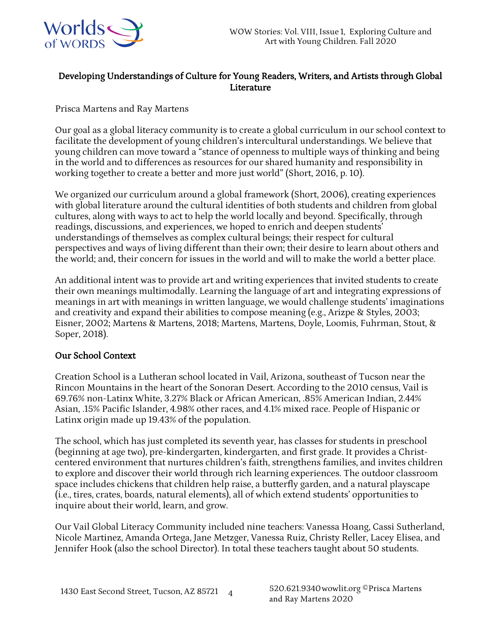

# Developing Understandings of Culture for Young Readers, Writers, and Artists through Global Literature

# Prisca Martens and Ray Martens

Our goal as a global literacy community is to create a global curriculum in our school context to facilitate the development of young children's intercultural understandings. We believe that young children can move toward a "stance of openness to multiple ways of thinking and being in the world and to differences as resources for our shared humanity and responsibility in working together to create a better and more just world" (Short, 2016, p. 10).

We organized our curriculum around a global framework (Short, 2006), creating experiences with global literature around the cultural identities of both students and children from global cultures, along with ways to act to help the world locally and beyond. Specifically, through readings, discussions, and experiences, we hoped to enrich and deepen students' understandings of themselves as complex cultural beings; their respect for cultural perspectives and ways of living different than their own; their desire to learn about others and the world; and, their concern for issues in the world and will to make the world a better place.

An additional intent was to provide art and writing experiences that invited students to create their own meanings multimodally. Learning the language of art and integrating expressions of meanings in art with meanings in written language, we would challenge students' imaginations and creativity and expand their abilities to compose meaning (e.g., Arizpe & Styles, 2003; Eisner, 2002; Martens & Martens, 2018; Martens, Martens, Doyle, Loomis, Fuhrman, Stout, & Soper, 2018).

# Our School Context

Creation School is a Lutheran school located in Vail, Arizona, southeast of Tucson near the Rincon Mountains in the heart of the Sonoran Desert. According to the 2010 census, Vail is 69.76% non-Latinx White, 3.27% Black or African American, .85% American Indian, 2.44% Asian, .15% Pacific Islander, 4.98% other races, and 4.1% mixed race. People of Hispanic or Latinx origin made up 19.43% of the population.

The school, which has just completed its seventh year, has classes for students in preschool (beginning at age two), pre-kindergarten, kindergarten, and first grade. It provides a Christcentered environment that nurtures children's faith, strengthens families, and invites children to explore and discover their world through rich learning experiences. The outdoor classroom space includes chickens that children help raise, a butterfly garden, and a natural playscape (i.e., tires, crates, boards, natural elements), all of which extend students' opportunities to inquire about their world, learn, and grow.

Our Vail Global Literacy Community included nine teachers: Vanessa Hoang, Cassi Sutherland, Nicole Martinez, Amanda Ortega, Jane Metzger, Vanessa Ruiz, Christy Reller, Lacey Elisea, and Jennifer Hook (also the school Director). In total these teachers taught about 50 students.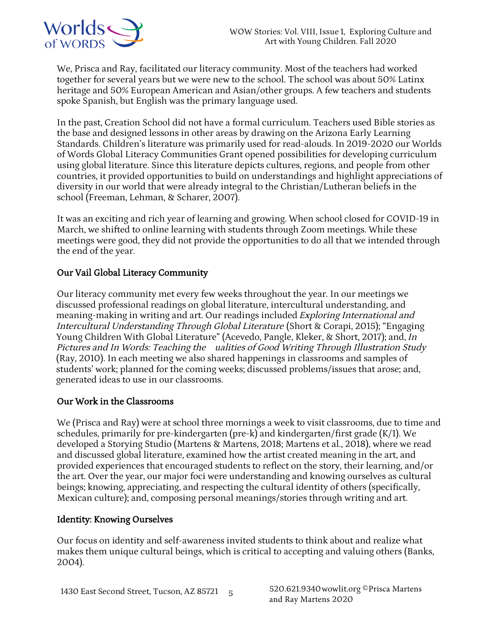

We, Prisca and Ray, facilitated our literacy community. Most of the teachers had worked together for several years but we were new to the school. The school was about 50% Latinx heritage and 50% European American and Asian/other groups. A few teachers and students spoke Spanish, but English was the primary language used.

In the past, Creation School did not have a formal curriculum. Teachers used Bible stories as the base and designed lessons in other areas by drawing on the Arizona Early Learning Standards. Children's literature was primarily used for read-alouds. In 2019-2020 our Worlds of Words Global Literacy Communities Grant opened possibilities for developing curriculum using global literature. Since this literature depicts cultures, regions, and people from other countries, it provided opportunities to build on understandings and highlight appreciations of diversity in our world that were already integral to the Christian/Lutheran beliefs in the school (Freeman, Lehman, & Scharer, 2007).

It was an exciting and rich year of learning and growing. When school closed for COVID-19 in March, we shifted to online learning with students through Zoom meetings. While these meetings were good, they did not provide the opportunities to do all that we intended through the end of the year.

# Our Vail Global Literacy Community

Our literacy community met every few weeks throughout the year. In our meetings we discussed professional readings on global literature, intercultural understanding, and meaning-making in writing and art. Our readings included Exploring International and Intercultural Understanding Through Global Literature (Short & Corapi, 2015); "Engaging Young Children With Global Literature" (Acevedo, Pangle, Kleker, & Short, 2017); and, In Pictures and In Words: Teaching the ualities of Good Writing Through Illustration Study (Ray, 2010). In each meeting we also shared happenings in classrooms and samples of students' work; planned for the coming weeks; discussed problems/issues that arose; and, generated ideas to use in our classrooms.

### Our Work in the Classrooms

We (Prisca and Ray) were at school three mornings a week to visit classrooms, due to time and schedules, primarily for pre-kindergarten (pre-k) and kindergarten/first grade (K/1). We developed a Storying Studio (Martens & Martens, 2018; Martens et al., 2018), where we read and discussed global literature, examined how the artist created meaning in the art, and provided experiences that encouraged students to reflect on the story, their learning, and/or the art. Over the year, our major foci were understanding and knowing ourselves as cultural beings; knowing, appreciating, and respecting the cultural identity of others (specifically, Mexican culture); and, composing personal meanings/stories through writing and art.

### Identity: Knowing Ourselves

Our focus on identity and self-awareness invited students to think about and realize what makes them unique cultural beings, which is critical to accepting and valuing others (Banks, 2004).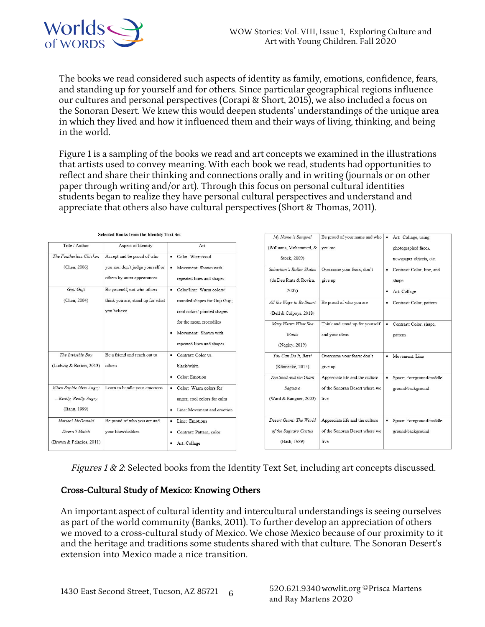

The books we read considered such aspects of identity as family, emotions, confidence, fears, and standing up for yourself and for others. Since particular geographical regions influence our cultures and personal perspectives (Corapi & Short, 2015), we also included a focus on the Sonoran Desert. We knew this would deepen students' understandings of the unique area in which they lived and how it influenced them and their ways of living, thinking, and being in the world.

Figure 1 is a sampling of the books we read and art concepts we examined in the illustrations that artists used to convey meaning. With each book we read, students had opportunities to reflect and share their thinking and connections orally and in writing (journals or on other paper through writing and/or art). Through this focus on personal cultural identities students began to realize they have personal cultural perspectives and understand and appreciate that others also have cultural perspectives (Short & Thomas, 2011).

|                          | selected books from the fuentity Text set |                                 | My Name is Sangoel        | Be proud of your name and who   | Art: Collage, using<br>$\bullet$ |
|--------------------------|-------------------------------------------|---------------------------------|---------------------------|---------------------------------|----------------------------------|
| Title / Author           | Aspect of Identity                        | Art                             | (Williams, Mohammed, &    | you are                         | photographed faces.              |
| The Featherless Chicken  | Accept and be proud of who                | • Color: Warm/cool              | Stock, 2009)              |                                 | newspaper objects, etc.          |
| (Chen, 2006)             | you are; don't judge yourself or          | Movement: Shown with            | Sebastian's Roller Skates | Overcome vour fears: don't      | • Contrast: Color, line, and     |
|                          | others by outer appearances               | repeated lines and shapes       | (de Deu Prats & Rovira,   | give up                         | shape                            |
| Guji Guji                | Be yourself, not who others               | Color/line: Warm colors/        | 2005)                     |                                 | · Art: Collage                   |
| (Chen, 2004)             | think you are; stand up for what          | rounded shapes for Guji Guji;   | All the Ways to Be Smart  | Be proud of who you are         | • Contrast: Color, pattern       |
|                          | you believe                               | cool colors/ pointed shapes     | (Bell & Colpoys, 2018)    |                                 |                                  |
|                          |                                           | for the mean crocodiles         | Mary Wears What She       | Think and stand up for yourself | Contrast: Color, shape,          |
|                          |                                           | Movement: Shown with            | Wants                     | and your ideas                  | pattern                          |
|                          |                                           | repeated lines and shapes       | (Negley, 2019)            |                                 |                                  |
| The Invisible Bov        | Be a friend and reach out to              | • Contrast: Color vs.           | You Can Do It, Bert!      | Overcome your fears; don't      | • Movement: Line                 |
| (Ludwig & Barton, 2013)  | others                                    | black/white                     | (Könnecke, 2015)          | give up                         |                                  |
|                          |                                           | Color: Emotion<br>٠             | The Seed and the Giant    | Appreciate life and the culture | · Space: Foreground/middle       |
| When Sophie Gets Angry   | Learn to handle your emotions             | Color: Warm colors for          | Saguaro                   | of the Sonoran Desert where we  | ground/background                |
| Really, Really Angry     |                                           | anger, cool colors for calm     | (Ward & Rangner, 2003)    | live                            |                                  |
| (Bang, 1999)             |                                           | Line: Movement and emotion<br>٠ |                           |                                 |                                  |
| Marisol McDonald         | Be proud of who you are and               | • Line: Emotions                | Desert Giant: The World   | Appreciate life and the culture | · Space: Foreground/middle       |
| Doesn't Match            | vour likes/dislikes                       | • Contrast: Pattern, color      | of the Saguaro Cactus     | of the Sonoran Desert where we  | ground/background                |
| (Brown & Palacios, 2011) |                                           | • Art: Collage                  | (Bash, 1989)              | live                            |                                  |

#### Selected Books from the Identity Text Set

Figures 1 & 2: Selected books from the Identity Text Set, including art concepts discussed.

### Cross-Cultural Study of Mexico: Knowing Others

An important aspect of cultural identity and intercultural understandings is seeing ourselves as part of the world community (Banks, 2011). To further develop an appreciation of others we moved to a cross-cultural study of Mexico. We chose Mexico because of our proximity to it and the heritage and traditions some students shared with that culture. The Sonoran Desert's extension into Mexico made a nice transition.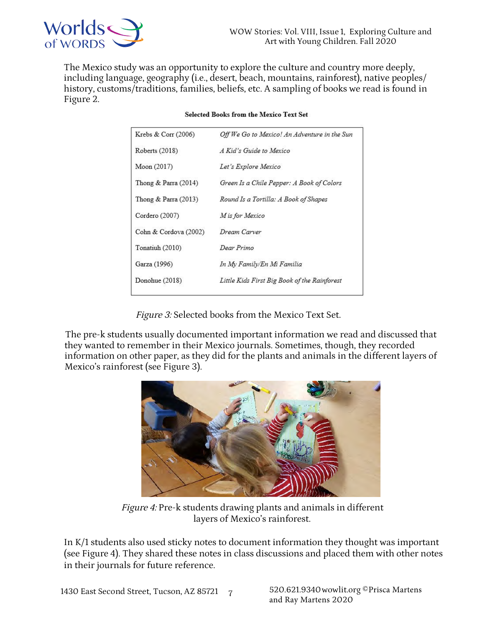

The Mexico study was an opportunity to explore the culture and country more deeply, including language, geography (i.e., desert, beach, mountains, rainforest), native peoples/ history, customs/traditions, families, beliefs, etc. A sampling of books we read is found in Figure 2.

| Krebs & Corr (2006)    | Off We Go to Mexico! An Adventure in the Sun |  |  |
|------------------------|----------------------------------------------|--|--|
| Roberts (2018)         | A Kid's Guide to Mexico                      |  |  |
| Moon (2017)            | Let's Explore Mexico                         |  |  |
| Thong & Parra $(2014)$ | Green Is a Chile Pepper: A Book of Colors    |  |  |
| Thong & Parra $(2013)$ | Round Is a Tortilla: A Book of Shapes        |  |  |
| Cordero (2007)         | M is for Mexico                              |  |  |
| Cohn & Cordova (2002)  | Dream Carver                                 |  |  |
| Tonatiuh (2010)        | Dear Primo                                   |  |  |
| Garza (1996)           | In My Family/En Mi Familia                   |  |  |
| Donohue (2018)         | Little Kids First Big Book of the Rainforest |  |  |
|                        |                                              |  |  |

#### **Selected Books from the Mexico Text Set**

Figure 3: Selected books from the Mexico Text Set.

The pre-k students usually documented important information we read and discussed that they wanted to remember in their Mexico journals. Sometimes, though, they recorded information on other paper, as they did for the plants and animals in the different layers of Mexico's rainforest (see Figure 3).



Figure 4: Pre-k students drawing plants and animals in different layers of Mexico's rainforest.

In K/1 students also used sticky notes to document information they thought was important (see Figure 4). They shared these notes in class discussions and placed them with other notes in their journals for future reference.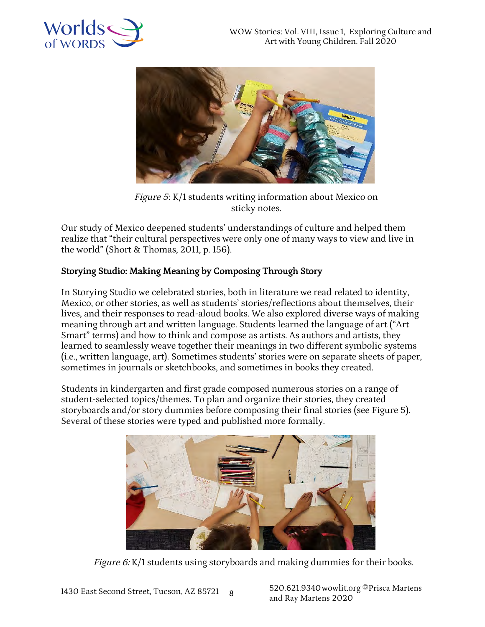



Figure 5: K/1 students writing information about Mexico on sticky notes.

Our study of Mexico deepened students' understandings of culture and helped them realize that "their cultural perspectives were only one of many ways to view and live in the world" (Short & Thomas, 2011, p. 156).

# Storying Studio: Making Meaning by Composing Through Story

In Storying Studio we celebrated stories, both in literature we read related to identity, Mexico, or other stories, as well as students' stories/reflections about themselves, their lives, and their responses to read-aloud books. We also explored diverse ways of making meaning through art and written language. Students learned the language of art ("Art Smart" terms) and how to think and compose as artists. As authors and artists, they learned to seamlessly weave together their meanings in two different symbolic systems (i.e., written language, art). Sometimes students' stories were on separate sheets of paper, sometimes in journals or sketchbooks, and sometimes in books they created.

Students in kindergarten and first grade composed numerous stories on a range of student-selected topics/themes. To plan and organize their stories, they created storyboards and/or story dummies before composing their final stories (see Figure 5). Several of these stories were typed and published more formally.



Figure 6: K/1 students using storyboards and making dummies for their books.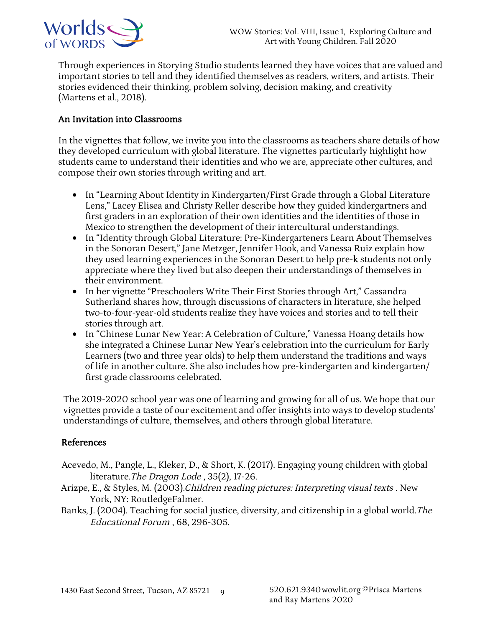

Through experiences in Storying Studio students learned they have voices that are valued and important stories to tell and they identified themselves as readers, writers, and artists. Their stories evidenced their thinking, problem solving, decision making, and creativity (Martens et al., 2018).

### An Invitation into Classrooms

In the vignettes that follow, we invite you into the classrooms as teachers share details of how they developed curriculum with global literature. The vignettes particularly highlight how students came to understand their identities and who we are, appreciate other cultures, and compose their own stories through writing and art.

- In "Learning About Identity in Kindergarten/First Grade through a Global Literature Lens," Lacey Elisea and Christy Reller describe how they guided kindergartners and first graders in an exploration of their own identities and the identities of those in Mexico to strengthen the development of their intercultural understandings.
- In "Identity through Global Literature: Pre-Kindergarteners Learn About Themselves in the Sonoran Desert," Jane Metzger, Jennifer Hook, and Vanessa Ruiz explain how they used learning experiences in the Sonoran Desert to help pre-k students not only appreciate where they lived but also deepen their understandings of themselves in their environment.
- In her vignette "Preschoolers Write Their First Stories through Art," Cassandra Sutherland shares how, through discussions of characters in literature, she helped two-to-four-year-old students realize they have voices and stories and to tell their stories through art.
- In "Chinese Lunar New Year: A Celebration of Culture," Vanessa Hoang details how she integrated a Chinese Lunar New Year's celebration into the curriculum for Early Learners (two and three year olds) to help them understand the traditions and ways of life in another culture. She also includes how pre-kindergarten and kindergarten/ first grade classrooms celebrated.

The 2019-2020 school year was one of learning and growing for all of us. We hope that our vignettes provide a taste of our excitement and offer insights into ways to develop students' understandings of culture, themselves, and others through global literature.

### References

- Acevedo, M., Pangle, L., Kleker, D., & Short, K. (2017). Engaging young children with global literature. The Dragon Lode, 35(2), 17-26.
- Arizpe, E., & Styles, M. (2003). Children reading pictures: Interpreting visual texts. New York, NY: RoutledgeFalmer.
- Banks, J. (2004). Teaching for social justice, diversity, and citizenship in a global world. The Educational Forum, 68, 296-305.